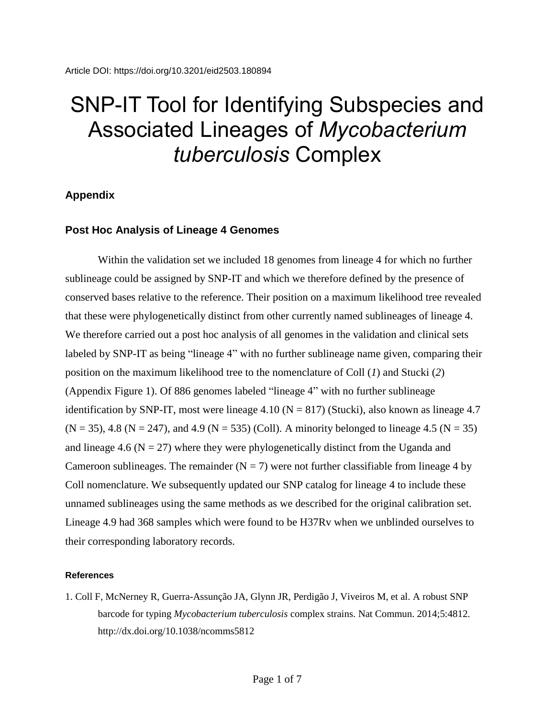## SNP-IT Tool for Identifying Subspecies and Associated Lineages of *Mycobacterium tuberculosis* Complex

## **Appendix**

## **Post Hoc Analysis of Lineage 4 Genomes**

Within the validation set we included 18 genomes from lineage 4 for which no further sublineage could be assigned by SNP-IT and which we therefore defined by the presence of conserved bases relative to the reference. Their position on a maximum likelihood tree revealed that these were phylogenetically distinct from other currently named sublineages of lineage 4. We therefore carried out a post hoc analysis of all genomes in the validation and clinical sets labeled by SNP-IT as being "lineage 4" with no further sublineage name given, comparing their position on the maximum likelihood tree to the nomenclature of Coll (*1*) and Stucki (*2*) (Appendix Figure 1). Of 886 genomes labeled "lineage 4" with no further sublineage identification by SNP-IT, most were lineage 4.10 ( $N = 817$ ) (Stucki), also known as lineage 4.7  $(N = 35)$ , 4.8 (N = 247), and 4.9 (N = 535) (Coll). A minority belonged to lineage 4.5 (N = 35) and lineage 4.6 ( $N = 27$ ) where they were phylogenetically distinct from the Uganda and Cameroon sublineages. The remainder  $(N = 7)$  were not further classifiable from lineage 4 by Coll nomenclature. We subsequently updated our SNP catalog for lineage 4 to include these unnamed sublineages using the same methods as we described for the original calibration set. Lineage 4.9 had 368 samples which were found to be H37Rv when we unblinded ourselves to their corresponding laboratory records.

## **References**

1. Coll F, McNerney R, Guerra-Assunção JA, Glynn JR, Perdigão J, Viveiros M, et al. A robust SNP barcode for typing *Mycobacterium tuberculosis* complex strains. Nat Commun. 2014;5:4812. <http://dx.doi.org/10.1038/ncomms5812>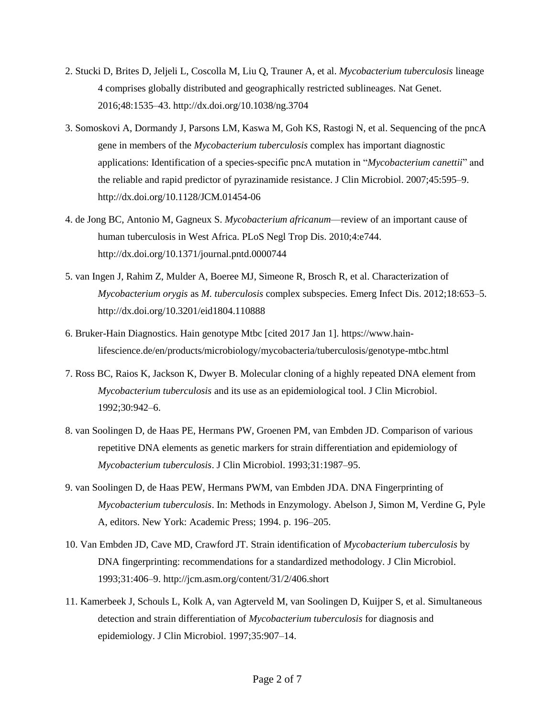- 2. Stucki D, Brites D, Jeljeli L, Coscolla M, Liu Q, Trauner A, et al. *Mycobacterium tuberculosis* lineage 4 comprises globally distributed and geographically restricted sublineages. Nat Genet. 2016;48:1535–43. <http://dx.doi.org/10.1038/ng.3704>
- 3. Somoskovi A, Dormandy J, Parsons LM, Kaswa M, Goh KS, Rastogi N, et al. Sequencing of the pncA gene in members of the *Mycobacterium tuberculosis* complex has important diagnostic applications: Identification of a species-specific pncA mutation in "*Mycobacterium canettii*" and the reliable and rapid predictor of pyrazinamide resistance. J Clin Microbiol. 2007;45:595–9. <http://dx.doi.org/10.1128/JCM.01454-06>
- 4. de Jong BC, Antonio M, Gagneux S. *Mycobacterium africanum*—review of an important cause of human tuberculosis in West Africa. PLoS Negl Trop Dis. 2010;4:e744. <http://dx.doi.org/10.1371/journal.pntd.0000744>
- 5. van Ingen J, Rahim Z, Mulder A, Boeree MJ, Simeone R, Brosch R, et al. Characterization of *Mycobacterium orygis* as *M. tuberculosis* complex subspecies. Emerg Infect Dis. 2012;18:653–5. <http://dx.doi.org/10.3201/eid1804.110888>
- 6. Bruker-Hain Diagnostics. Hain genotype Mtbc [cited 2017 Jan 1]. https://www.hainlifescience.de/en/products/microbiology/mycobacteria/tuberculosis/genotype-mtbc.html
- 7. Ross BC, Raios K, Jackson K, Dwyer B. Molecular cloning of a highly repeated DNA element from *Mycobacterium tuberculosis* and its use as an epidemiological tool. J Clin Microbiol. 1992;30:942–6.
- 8. van Soolingen D, de Haas PE, Hermans PW, Groenen PM, van Embden JD. Comparison of various repetitive DNA elements as genetic markers for strain differentiation and epidemiology of *Mycobacterium tuberculosis*. J Clin Microbiol. 1993;31:1987–95.
- 9. van Soolingen D, de Haas PEW, Hermans PWM, van Embden JDA. DNA Fingerprinting of *Mycobacterium tuberculosis*. In: Methods in Enzymology. Abelson J, Simon M, Verdine G, Pyle A, editors. New York: Academic Press; 1994. p. 196–205.
- 10. Van Embden JD, Cave MD, Crawford JT. Strain identification of *Mycobacterium tuberculosis* by DNA fingerprinting: recommendations for a standardized methodology. [J Clin Microbiol.](https://www.ncbi.nlm.nih.gov/pmc/articles/PMC262774/) 1993;31:406–9. http://jcm.asm.org/content/31/2/406.short
- 11. Kamerbeek J, Schouls L, Kolk A, van Agterveld M, van Soolingen D, Kuijper S, et al. Simultaneous detection and strain differentiation of *Mycobacterium tuberculosis* for diagnosis and epidemiology. J Clin Microbiol. 1997;35:907–14.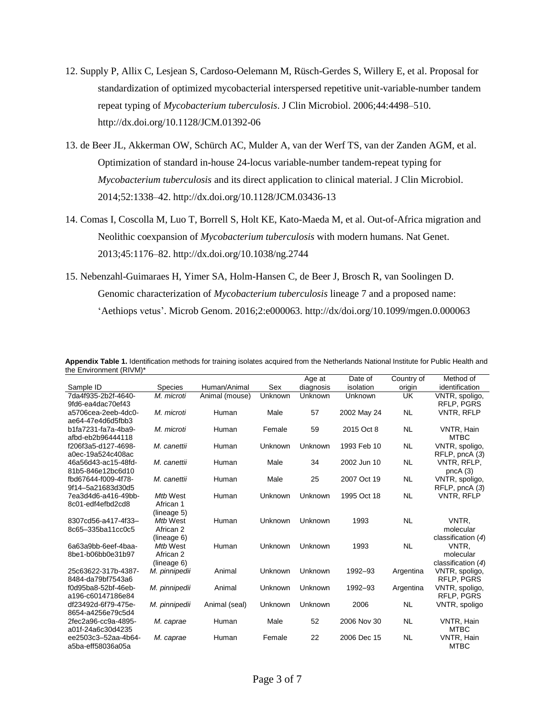- 12. Supply P, Allix C, Lesjean S, Cardoso-Oelemann M, Rüsch-Gerdes S, Willery E, et al. Proposal for standardization of optimized mycobacterial interspersed repetitive unit-variable-number tandem repeat typing of *Mycobacterium tuberculosis*. J Clin Microbiol. 2006;44:4498–510. <http://dx.doi.org/10.1128/JCM.01392-06>
- 13. de Beer JL, Akkerman OW, Schürch AC, Mulder A, van der Werf TS, van der Zanden AGM, et al. Optimization of standard in-house 24-locus variable-number tandem-repeat typing for *Mycobacterium tuberculosis* and its direct application to clinical material. J Clin Microbiol. 2014;52:1338–42. <http://dx.doi.org/10.1128/JCM.03436-13>
- 14. Comas I, Coscolla M, Luo T, Borrell S, Holt KE, Kato-Maeda M, et al. Out-of-Africa migration and Neolithic coexpansion of *Mycobacterium tuberculosis* with modern humans. Nat Genet. 2013;45:1176–82. <http://dx.doi.org/10.1038/ng.2744>
- 15. Nebenzahl-Guimaraes H, Yimer SA, Holm-Hansen C, de Beer J, Brosch R, van Soolingen D. Genomic characterization of *Mycobacterium tuberculosis* lineage 7 and a proposed name: 'Aethiops vetus'. Microb Genom. 2016;2:e000063. http://dx/doi.org/10.1099/mgen.0.000063

|                     |                |                |         | Age at    | Date of     | Country of | Method of            |
|---------------------|----------------|----------------|---------|-----------|-------------|------------|----------------------|
| Sample ID           | <b>Species</b> | Human/Animal   | Sex     | diagnosis | isolation   | origin     | identification       |
| 7da4f935-2b2f-4640- | M. microti     | Animal (mouse) | Unknown | Unknown   | Unknown     | <b>UK</b>  | VNTR, spoligo,       |
| 9fd6-ea4dac70ef43   |                |                |         |           |             |            | RFLP, PGRS           |
| a5706cea-2eeb-4dc0- | M. microti     | Human          | Male    | 57        | 2002 May 24 | <b>NL</b>  | <b>VNTR. RFLP</b>    |
| ae64-47e4d6d5fbb3   |                |                |         |           |             |            |                      |
| b1fa7231-fa7a-4ba9- | M. microti     | Human          | Female  | 59        | 2015 Oct 8  | <b>NL</b>  | VNTR, Hain           |
| afbd-eb2b96444118   |                |                |         |           |             |            | <b>MTBC</b>          |
| f206f3a5-d127-4698- | M. canettii    | Human          | Unknown | Unknown   | 1993 Feb 10 | <b>NL</b>  | VNTR, spoligo,       |
| a0ec-19a524c408ac   |                |                |         |           |             |            | RFLP, pncA (3)       |
| 46a56d43-ac15-48fd- | M. canettii    | Human          | Male    | 34        | 2002 Jun 10 | <b>NL</b>  | VNTR, RFLP,          |
| 81b5-846e12bc6d10   |                |                |         |           |             |            | pncA(3)              |
| fbd67644-f009-4f78- | M. canettii    | Human          | Male    | 25        | 2007 Oct 19 | <b>NL</b>  | VNTR, spoligo,       |
| 9f14-5a21683d30d5   |                |                |         |           |             |            | RFLP, pncA (3)       |
| 7ea3d4d6-a416-49bb- | Mtb West       | Human          | Unknown | Unknown   | 1995 Oct 18 | <b>NL</b>  | <b>VNTR, RFLP</b>    |
| 8c01-edf4efbd2cd8   | African 1      |                |         |           |             |            |                      |
|                     | (lineage 5)    |                |         |           |             |            |                      |
| 8307cd56-a417-4f33- | Mtb West       | Human          | Unknown | Unknown   | 1993        | <b>NL</b>  | VNTR.                |
| 8c65-335ba11cc0c5   | African 2      |                |         |           |             |            | molecular            |
|                     | (lineage 6)    |                |         |           |             |            | classification $(4)$ |
| 6a63a9bb-6eef-4baa- | Mtb West       | Human          | Unknown | Unknown   | 1993        | <b>NL</b>  | VNTR.                |
| 8be1-b06bb0e31b97   | African 2      |                |         |           |             |            | molecular            |
|                     | (lineage 6)    |                |         |           |             |            | classification $(4)$ |
| 25c63622-317b-4387- | M. pinnipedii  | Animal         | Unknown | Unknown   | 1992-93     | Argentina  | VNTR, spoligo,       |
| 8484-da79bf7543a6   |                |                |         |           |             |            | RFLP, PGRS           |
| f0d95ba8-52bf-46eb- | M. pinnipedii  | Animal         | Unknown | Unknown   | 1992-93     | Argentina  | VNTR, spoligo,       |
| a196-c60147186e84   |                |                |         |           |             |            | RFLP. PGRS           |
| df23492d-6f79-475e- | M. pinnipedii  | Animal (seal)  | Unknown | Unknown   | 2006        | <b>NL</b>  | VNTR, spoligo        |
| 8654-a4256e79c5d4   |                |                |         |           |             |            |                      |
| 2fec2a96-cc9a-4895- | M. caprae      | Human          | Male    | 52        | 2006 Nov 30 | <b>NL</b>  | VNTR, Hain           |
| a01f-24a6c30d4235   |                |                |         |           |             |            | <b>MTBC</b>          |
| ee2503c3-52aa-4b64- | M. caprae      | Human          | Female  | 22        | 2006 Dec 15 | <b>NL</b>  | <b>VNTR. Hain</b>    |
| a5ba-eff58036a05a   |                |                |         |           |             |            | <b>MTBC</b>          |

**Appendix Table 1.** Identification methods for training isolates acquired from the Netherlands National Institute for Public Health and the Environment (RIVM)\*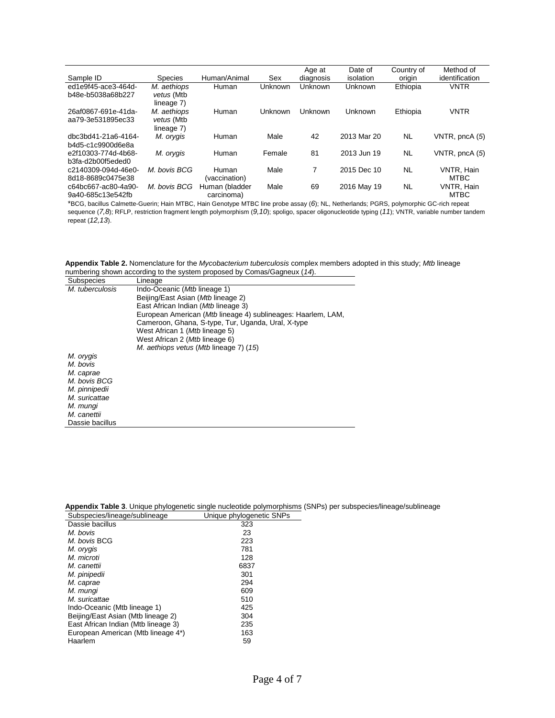|                     |                |                |         | Age at    | Date of     | Country of | Method of         |
|---------------------|----------------|----------------|---------|-----------|-------------|------------|-------------------|
| Sample ID           | <b>Species</b> | Human/Animal   | Sex     | diagnosis | isolation   | origin     | identification    |
| ed1e9f45-ace3-464d- | M. aethiops    | Human          | Unknown | Unknown   | Unknown     | Ethiopia   | <b>VNTR</b>       |
| b48e-b5038a68b227   | vetus (Mtb     |                |         |           |             |            |                   |
|                     | lineage 7)     |                |         |           |             |            |                   |
| 26af0867-691e-41da- | M. aethiops    | Human          | Unknown | Unknown   | Unknown     | Ethiopia   | <b>VNTR</b>       |
| aa79-3e531895ec33   | vetus (Mtb     |                |         |           |             |            |                   |
|                     | lineage 7)     |                |         |           |             |            |                   |
| dbc3bd41-21a6-4164- | M. orygis      | Human          | Male    | 42        | 2013 Mar 20 | <b>NL</b>  | VNTR, pncA (5)    |
| b4d5-c1c9900d6e8a   |                |                |         |           |             |            |                   |
| e2f10303-774d-4b68- | M. orygis      | Human          | Female  | 81        | 2013 Jun 19 | <b>NL</b>  | VNTR, pncA (5)    |
| b3fa-d2b00f5eded0   |                |                |         |           |             |            |                   |
| c2140309-094d-46e0- | M. bovis BCG   | Human          | Male    | 7         | 2015 Dec 10 | <b>NL</b>  | <b>VNTR. Hain</b> |
| 8d18-8689c0475e38   |                | (vaccination)  |         |           |             |            | <b>MTBC</b>       |
| c64bc667-ac80-4a90- | M. bovis BCG   | Human (bladder | Male    | 69        | 2016 May 19 | NL         | <b>VNTR. Hain</b> |
| 9a40-685c13e542fb   |                | carcinoma)     |         |           |             |            | <b>MTBC</b>       |

\*BCG, bacillus Calmette-Guerin; Hain MTBC, Hain Genotype MTBC line probe assay (*6*); NL, Netherlands; PGRS, polymorphic GC-rich repeat sequence (*7,8*); RFLP, restriction fragment length polymorphism (*9,10*); spoligo, spacer oligonucleotide typing (*11*); VNTR, variable number tandem repeat (*12,13*).

**Appendix Table 2.** Nomenclature for the *Mycobacterium tuberculosis* complex members adopted in this study; *Mtb* lineage numbering shown according to the system proposed by Comas/Gagneux (*14*).

|                 | numbering shown according to the system proposed by Comas/Gagnetix (14). |
|-----------------|--------------------------------------------------------------------------|
| Subspecies      | Lineage                                                                  |
| M. tuberculosis | Indo-Oceanic (Mtb lineage 1)                                             |
|                 | Beijing/East Asian (Mtb lineage 2)                                       |
|                 | East African Indian (Mtb lineage 3)                                      |
|                 | European American (Mtb lineage 4) sublineages: Haarlem, LAM,             |
|                 | Cameroon, Ghana, S-type, Tur, Uganda, Ural, X-type                       |
|                 | West African 1 ( <i>Mtb</i> lineage 5)                                   |
|                 | West African 2 (Mtb lineage 6)                                           |
|                 | M. aethiops vetus (Mtb lineage 7) (15)                                   |
| M. orygis       |                                                                          |
| M. bovis        |                                                                          |
| M. caprae       |                                                                          |
| M. bovis BCG    |                                                                          |
| M. pinnipedii   |                                                                          |
| M. suricattae   |                                                                          |
| M. mungi        |                                                                          |
| M. canettii     |                                                                          |
| Dassie bacillus |                                                                          |

|                               |                          | Appendix Table 3. Unique phylogenetic single nucleotide polymorphisms (SNPs) per subspecies/lineage/sublineage |
|-------------------------------|--------------------------|----------------------------------------------------------------------------------------------------------------|
| Subspecies/lineage/sublineage | Unique phylogenetic SNPs |                                                                                                                |

| Supportes in leage submitted to     | <b>OURGE DRIVIOUSITS</b> |
|-------------------------------------|--------------------------|
| Dassie bacillus                     | 323                      |
| M. bovis                            | 23                       |
| M. bovis BCG                        | 223                      |
| M. orygis                           | 781                      |
| M. microti                          | 128                      |
| M. canettii                         | 6837                     |
| M. pinipedii                        | 301                      |
| M. caprae                           | 294                      |
| M. munqi                            | 609                      |
| M. suricattae                       | 510                      |
| Indo-Oceanic (Mtb lineage 1)        | 425                      |
| Beijing/East Asian (Mtb lineage 2)  | 304                      |
| East African Indian (Mtb lineage 3) | 235                      |
| European American (Mtb lineage 4*)  | 163                      |
| Haarlem                             | 59                       |
|                                     |                          |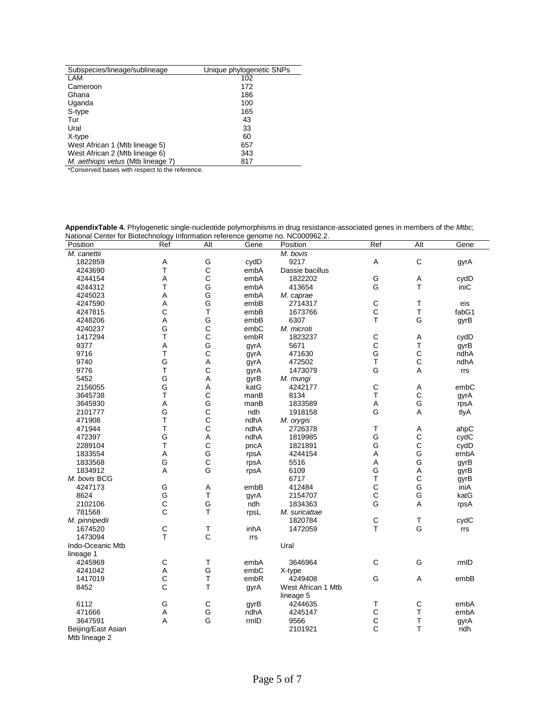| Subspecies/lineage/sublineage     | Unique phylogenetic SNPs |
|-----------------------------------|--------------------------|
| LAM                               | 102                      |
| Cameroon                          | 172                      |
| Ghana                             | 186                      |
| Uganda                            | 100                      |
| S-type                            | 165                      |
| Tur                               | 43                       |
| Ural                              | 33                       |
| X-type                            | 60                       |
| West African 1 (Mtb lineage 5)    | 657                      |
| West African 2 (Mtb lineage 6)    | 343                      |
| M. aethiops vetus (Mtb lineage 7) | 817                      |

\*Conserved bases with respect to the reference.

**AppendixTable 4.** Phylogenetic single-nucleotide polymorphisms in drug resistance-associated genes in members of the *Mtbc*; National Center for Biotechnology Information reference genome no. NC000962.2.

| $\alpha$ returns being the protection of $\alpha$ intermediation reference genome no. Necoopsize. |              |                |      |                                 |              |              |       |
|---------------------------------------------------------------------------------------------------|--------------|----------------|------|---------------------------------|--------------|--------------|-------|
| Position                                                                                          | Ref          | Alt            | Gene | Position                        | Ref          | Alt          | Gene  |
| M. canettii                                                                                       |              |                |      | M. bovis                        |              |              |       |
| 1822859                                                                                           | A            | G              | cydD | 9217                            | Α            | $\mathsf C$  | gyrA  |
| 4243690                                                                                           | Τ            | $\mathbf C$    | embA | Dassie bacillus                 |              |              |       |
| 4244154                                                                                           | Α            | $\bar{c}$      | embA | 1822202                         | G            | Α            | cydD  |
| 4244312                                                                                           | T            | G              | embA | 413654                          | G            | $\top$       | iniC  |
| 4245023                                                                                           | A            | G              | embA | M. caprae                       |              |              |       |
| 4247590                                                                                           | A            | G              | embB | 2714317                         | $\mathsf C$  | T            | eis   |
| 4247815                                                                                           | $\mathsf{C}$ | T              | embB | 1673766                         | C            | $\top$       | fabG1 |
| 4248206                                                                                           | A            | G              | embB | 6307                            | T            | G            | gyrB  |
| 4240237                                                                                           | G            |                | embC | M. microti                      |              |              |       |
| 1417294                                                                                           | T            | $\frac{C}{C}$  | embR | 1823237                         | $\mathsf{C}$ | Α            | cydD  |
| 9377                                                                                              | A            | G              |      | 5671                            | $\mathsf{C}$ | $\top$       | gyrB  |
| 9716                                                                                              | T            | $\mathsf{C}$   | gyrA | 471630                          | G            | $\mathsf C$  | ndhA  |
| 9740                                                                                              | G            | A              | gyrA | 472502                          | $\top$       | $\mathsf{C}$ | ndhA  |
| 9776                                                                                              | T            | $\mathbf C$    | gyrA |                                 | G            | A            |       |
|                                                                                                   |              |                | gyrA | 1473079                         |              |              | rrs   |
| 5452                                                                                              | G            | $\overline{A}$ | gyrB | M. mungi                        |              |              |       |
| 2156055                                                                                           | G            | A              | katG | 4242177                         | $\mathsf C$  | Α            | embC  |
| 3645738                                                                                           | T            | $\mathbf C$    | manB | 8134                            | T            | $\mathsf{C}$ | gyrA  |
| 3645930                                                                                           | Α            | G              | manB | 1833589                         | A            | G            | rpsA  |
| 2101777                                                                                           | G            | $\mathsf{C}$   | ndh  | 1918158                         | G            | A            | tlyA  |
| 471908                                                                                            | T            | $\bar{c}$      | ndhA | M. orygis                       |              |              |       |
| 471944                                                                                            | T            | $\mathbf C$    | ndhA | 2726378                         | Т            | Α            | ahpC  |
| 472397                                                                                            | G            | A              | ndhA | 1819985                         | G            | $\mathsf C$  | cydC  |
| 2289104                                                                                           | T            | $\mathbf C$    | pncA | 1821891                         | G            | $\mathsf{C}$ | cydD  |
| 1833554                                                                                           | A            | G              | rpsA | 4244154                         | A            | G            | embA  |
| 1833568                                                                                           | G            | $\mathbf C$    | rpsA | 5516                            | A            | G            | gyrB  |
| 1834912                                                                                           | A            | G              | rpsA | 6109                            | G            | A            | gyrB  |
| M. bovis BCG                                                                                      |              |                |      | 6717                            | Т            | $\mathsf{C}$ | gyrB  |
| 4247173                                                                                           | G            | Α              | embB | 412484                          | $\mathsf C$  | G            | iniA  |
| 8624                                                                                              | G            | T              | gyrA | 2154707                         | C            | G            | katG  |
| 2102106                                                                                           | $\mathsf C$  | G              | ndh  | 1834363                         | G            | A            | rpsA  |
| 781568                                                                                            | C            | T              | rpsL | M. suricattae                   |              |              |       |
| M. pinnipedii                                                                                     |              |                |      | 1820784                         | $\mathsf C$  | T            | cydC  |
| 1674520                                                                                           | $\mathsf C$  | Т              | inhA | 1472059                         | T            | G            | rrs   |
| 1473094                                                                                           | T            | $\mathbf C$    | rrs  |                                 |              |              |       |
| Indo-Oceanic Mtb                                                                                  |              |                |      | Ural                            |              |              |       |
| lineage 1                                                                                         |              |                |      |                                 |              |              |       |
|                                                                                                   | $\mathsf C$  | T              |      | 3646964                         | $\mathsf{C}$ | G            | rmID  |
| 4245969                                                                                           |              | G              | embA |                                 |              |              |       |
| 4241042                                                                                           | Α            |                | embC | X-type                          |              |              |       |
| 1417019                                                                                           | $\mathsf C$  | $\mathsf T$    | embR | 4249408                         | G            | A            | embB  |
| 8452                                                                                              | $\mathsf{C}$ | T              | gyrA | West African 1 Mtb<br>lineage 5 |              |              |       |
| 6112                                                                                              | G            | $\mathsf{C}$   | gyrB | 4244635                         | T            | C            | embA  |
| 471666                                                                                            | Α            | G              | ndhA | 4245147                         | C            | $\top$       | embA  |
| 3647591                                                                                           | A            | G              | rmID | 9566                            | C            | $\sf T$      | gyrA  |
| Beijing/East Asian                                                                                |              |                |      | 2101921                         | C            | T            | ndh   |
| Mtb lineage 2                                                                                     |              |                |      |                                 |              |              |       |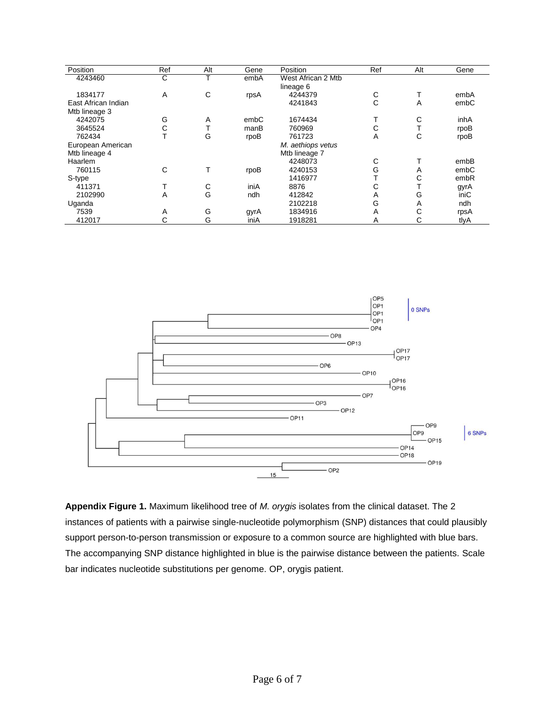| Position            | Ref | Alt | Gene | Position           | Ref | Alt | Gene |
|---------------------|-----|-----|------|--------------------|-----|-----|------|
| 4243460             | С   |     | embA | West African 2 Mtb |     |     |      |
|                     |     |     |      | lineage 6          |     |     |      |
| 1834177             | A   | C   | rpsA | 4244379            | С   |     | embA |
| East African Indian |     |     |      | 4241843            | C   | A   | embC |
| Mtb lineage 3       |     |     |      |                    |     |     |      |
| 4242075             | G   | Α   | embC | 1674434            |     | С   | inhA |
| 3645524             | С   |     | manB | 760969             | С   |     | rpoB |
| 762434              |     | G   | rpoB | 761723             | A   | С   | rpoB |
| European American   |     |     |      | M. aethiops vetus  |     |     |      |
| Mtb lineage 4       |     |     |      | Mtb lineage 7      |     |     |      |
| Haarlem             |     |     |      | 4248073            | С   |     | embB |
| 760115              | С   |     | rpoB | 4240153            | G   | Α   | embC |
| S-type              |     |     |      | 1416977            |     | С   | embR |
| 411371              |     | С   | iniA | 8876               | С   | ᠇   | gyrA |
| 2102990             | A   | G   | ndh  | 412842             | Α   | G   | iniC |
| Uganda              |     |     |      | 2102218            | G   | Α   | ndh  |
| 7539                | A   | G   | gyrA | 1834916            | Α   | С   | rpsA |
| 412017              | С   | G   | iniA | 1918281            | A   | С   | tlyA |



**Appendix Figure 1.** Maximum likelihood tree of *M. orygis* isolates from the clinical dataset. The 2 instances of patients with a pairwise single-nucleotide polymorphism (SNP) distances that could plausibly support person-to-person transmission or exposure to a common source are highlighted with blue bars. The accompanying SNP distance highlighted in blue is the pairwise distance between the patients. Scale bar indicates nucleotide substitutions per genome. OP, orygis patient.